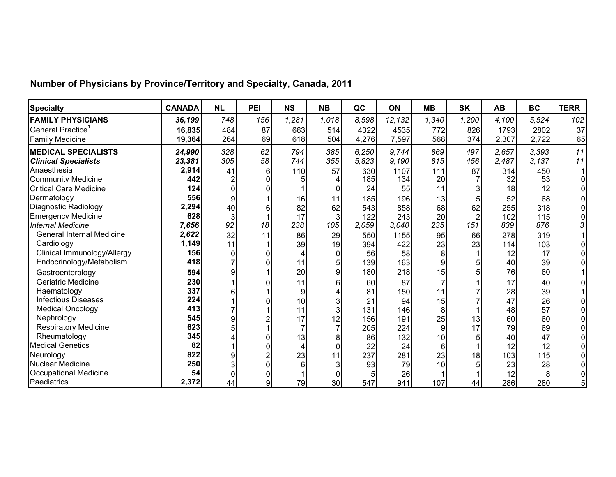| <b>Specialty</b>                 | <b>CANADA</b> | <b>NL</b> | PEI            | <b>NS</b> | <b>NB</b> | QC    | <b>ON</b> | <b>MB</b> | <b>SK</b>      | <b>AB</b> | <b>BC</b> | <b>TERR</b> |
|----------------------------------|---------------|-----------|----------------|-----------|-----------|-------|-----------|-----------|----------------|-----------|-----------|-------------|
| <b>FAMILY PHYSICIANS</b>         | 36,199        | 748       | 156            | 1,281     | 1,018     | 8,598 | 12,132    | 1,340     | 1,200          | 4,100     | 5,524     | 102         |
| General Practice <sup>1</sup>    | 16,835        | 484       | 87             | 663       | 514       | 4322  | 4535      | 772       | 826            | 1793      | 2802      | 37          |
| <b>Family Medicine</b>           | 19,364        | 264       | 69             | 618       | 504       | 4,276 | 7,597     | 568       | 374            | 2,307     | 2,722     | 65          |
| <b>MEDICAL SPECIALISTS</b>       | 24,990        | 328       | 62             | 794       | 385       | 6,250 | 9,744     | 869       | 497            | 2,657     | 3,393     | 11          |
| <b>Clinical Specialists</b>      | 23,381        | 305       | 58             | 744       | 355       | 5,823 | 9,190     | 815       | 456            | 2,487     | 3,137     | 11          |
| Anaesthesia                      | 2,914         | 41        | 6              | 110       | 57        | 630   | 1107      | 111       | 87             | 314       | 450       |             |
| <b>Community Medicine</b>        | 442           |           | 0              |           |           | 185   | 134       | 20        |                | 32        | 53        |             |
| <b>Critical Care Medicine</b>    | 124           |           |                |           |           | 24    | 55        | 11        |                | 18        | 12        |             |
| Dermatology                      | 556           | 9         |                | 16        | 11        | 185   | 196       | 13        | 5              | 52        | 68        |             |
| Diagnostic Radiology             | 2,294         | 40        | 6              | 82        | 62        | 543   | 858       | 68        | 62             | 255       | 318       |             |
| <b>Emergency Medicine</b>        | 628           | 3         |                | 17        |           | 122   | 243       | 20        | $\overline{2}$ | 102       | 115       |             |
| <b>Internal Medicine</b>         | 7,656         | 92        | 18             | 238       | 105       | 2,059 | 3,040     | 235       | 151            | 839       | 876       | 3           |
| <b>General Internal Medicine</b> | 2,622         | 32        | 11             | 86        | 29        | 550   | 1155      | 95        | 66             | 278       | 319       |             |
| Cardiology                       | 1,149         | 11        |                | 39        | 19        | 394   | 422       | 23        | 23             | 114       | 103       |             |
| Clinical Immunology/Allergy      | 156           | $\Omega$  |                | 4         |           | 56    | 58        | 8         |                | 12        | 17        |             |
| Endocrinology/Metabolism         | 418           |           | 0              | 11        |           | 139   | 163       | 9         | 5              | 40        | 39        |             |
| Gastroenterology                 | 594           | g         |                | 20        |           | 180   | 218       | 15        | 5              | 76        | 60        |             |
| <b>Geriatric Medicine</b>        | 230           |           | 0              | 11        |           | 60    | 87        |           |                | 17        | 40        |             |
| Haematology                      | 337           |           |                | 9         |           | 81    | 150       | 11        |                | 28        | 39        |             |
| <b>Infectious Diseases</b>       | 224           |           |                | 10        |           | 21    | 94        | 15        |                | 47        | 26        |             |
| <b>Medical Oncology</b>          | 413           |           |                | 11        |           | 131   | 146       | 8         |                | 48        | 57        |             |
| Nephrology                       | 545           |           |                | 17        | 12        | 156   | 191       | 25        | 13             | 60        | 60        |             |
| <b>Respiratory Medicine</b>      | 623           |           |                |           |           | 205   | 224       | 9         | 17             | 79        | 69        |             |
| Rheumatology                     | 345           |           | 0              | 13        |           | 86    | 132       | 10        | 5              | 40        | 47        |             |
| <b>Medical Genetics</b>          | 82            |           |                | 4         |           | 22    | 24        | 6         |                | 12        | 12        |             |
| Neurology                        | 822           | 9         | $\overline{2}$ | 23        |           | 237   | 281       | 23        | 18             | 103       | 115       |             |
| Nuclear Medicine                 | 250           |           | 0              | 6         |           | 93    | 79        | 10        | 5              | 23        | 28        |             |
| <b>Occupational Medicine</b>     | 54            |           |                |           |           |       | 26        |           |                | 12        | 8         |             |
| Paediatrics                      | 2,372         | 44        | 9              | 79        | 30        | 547   | 941       | 107       | 44             | 286       | 280       | 5           |

## **Number of Physicians by Province/Territory and Specialty, Canada, 2011**